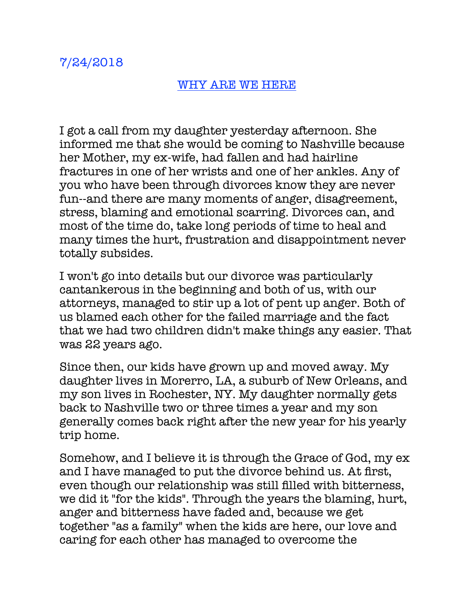## WHY ARE WE HERE

I got a call from my daughter yesterday afternoon. She informed me that she would be coming to Nashville because her Mother, my ex-wife, had fallen and had hairline fractures in one of her wrists and one of her ankles. Any of you who have been through divorces know they are never fun--and there are many moments of anger, disagreement, stress, blaming and emotional scarring. Divorces can, and most of the time do, take long periods of time to heal and many times the hurt, frustration and disappointment never totally subsides.

I won't go into details but our divorce was particularly cantankerous in the beginning and both of us, with our attorneys, managed to stir up a lot of pent up anger. Both of us blamed each other for the failed marriage and the fact that we had two children didn't make things any easier. That was 22 years ago.

Since then, our kids have grown up and moved away. My daughter lives in Morerro, LA, a suburb of New Orleans, and my son lives in Rochester, NY. My daughter normally gets back to Nashville two or three times a year and my son generally comes back right after the new year for his yearly trip home.

Somehow, and I believe it is through the Grace of God, my ex and I have managed to put the divorce behind us. At first, even though our relationship was still filled with bitterness, we did it "for the kids". Through the years the blaming, hurt, anger and bitterness have faded and, because we get together "as a family" when the kids are here, our love and caring for each other has managed to overcome the